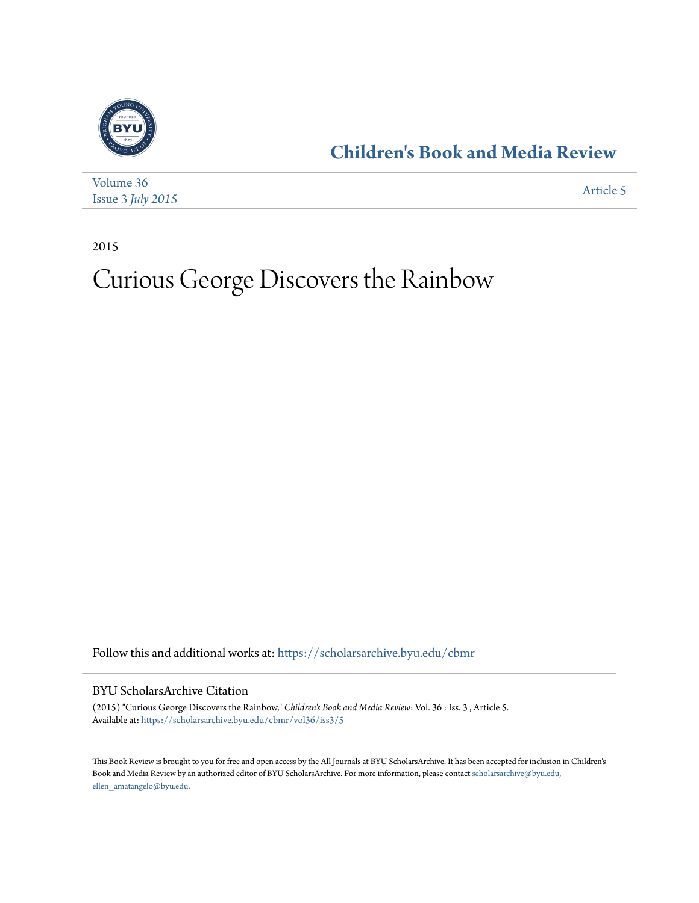

## **[Children's Book and Media Review](https://scholarsarchive.byu.edu/cbmr?utm_source=scholarsarchive.byu.edu%2Fcbmr%2Fvol36%2Fiss3%2F5&utm_medium=PDF&utm_campaign=PDFCoverPages)**

| Volume 36                    | Article 5 |
|------------------------------|-----------|
| Issue $3$ <i>July</i> $2015$ |           |

2015

## Curious George Discovers the Rainbow

Follow this and additional works at: [https://scholarsarchive.byu.edu/cbmr](https://scholarsarchive.byu.edu/cbmr?utm_source=scholarsarchive.byu.edu%2Fcbmr%2Fvol36%2Fiss3%2F5&utm_medium=PDF&utm_campaign=PDFCoverPages)

## BYU ScholarsArchive Citation

(2015) "Curious George Discovers the Rainbow," *Children's Book and Media Review*: Vol. 36 : Iss. 3 , Article 5. Available at: [https://scholarsarchive.byu.edu/cbmr/vol36/iss3/5](https://scholarsarchive.byu.edu/cbmr/vol36/iss3/5?utm_source=scholarsarchive.byu.edu%2Fcbmr%2Fvol36%2Fiss3%2F5&utm_medium=PDF&utm_campaign=PDFCoverPages)

This Book Review is brought to you for free and open access by the All Journals at BYU ScholarsArchive. It has been accepted for inclusion in Children's Book and Media Review by an authorized editor of BYU ScholarsArchive. For more information, please contact [scholarsarchive@byu.edu,](mailto:scholarsarchive@byu.edu,%20ellen_amatangelo@byu.edu) [ellen\\_amatangelo@byu.edu.](mailto:scholarsarchive@byu.edu,%20ellen_amatangelo@byu.edu)